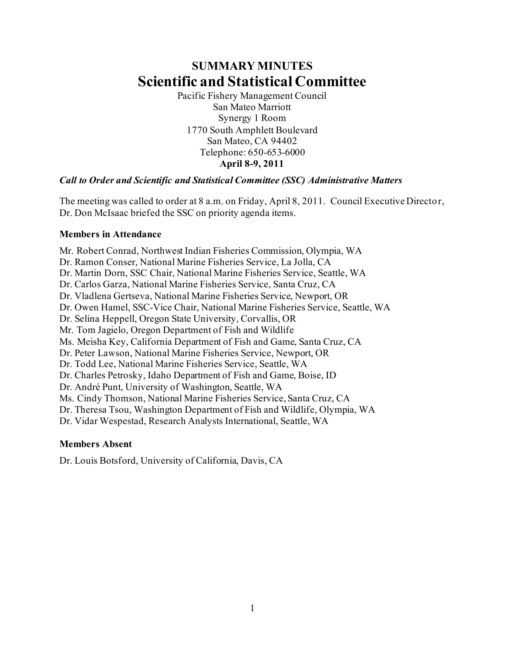# **SUMMARY MINUTES Scientific and Statistical Committee**

Pacific Fishery Management Council San Mateo Marriott Synergy 1 Room 1770 South Amphlett Boulevard San Mateo, CA 94402 Telephone: 650-653-6000 **April 8-9, 2011**

#### *Call to Order and Scientific and Statistical Committee (SSC) Administrative Matters*

The meeting was called to order at 8 a.m. on Friday, April 8, 2011. Council Executive Director, Dr. Don McIsaac briefed the SSC on priority agenda items.

#### **Members in Attendance**

Mr. Robert Conrad, Northwest Indian Fisheries Commission, Olympia, WA Dr. Ramon Conser, National Marine Fisheries Service, La Jolla, CA Dr. Martin Dorn, SSC Chair, National Marine Fisheries Service, Seattle, WA Dr. Carlos Garza, National Marine Fisheries Service, Santa Cruz, CA Dr. Vladlena Gertseva, National Marine Fisheries Service, Newport, OR Dr. Owen Hamel, SSC-Vice Chair, National Marine Fisheries Service, Seattle, WA Dr. Selina Heppell, Oregon State University, Corvallis, OR Mr. Tom Jagielo, Oregon Department of Fish and Wildlife Ms. Meisha Key, California Department of Fish and Game, Santa Cruz, CA Dr. Peter Lawson, National Marine Fisheries Service, Newport, OR Dr. Todd Lee, National Marine Fisheries Service, Seattle, WA Dr. Charles Petrosky, Idaho Department of Fish and Game, Boise, ID Dr. André Punt, University of Washington, Seattle, WA Ms. Cindy Thomson, National Marine Fisheries Service, Santa Cruz, CA Dr. Theresa Tsou, Washington Department of Fish and Wildlife, Olympia, WA Dr. Vidar Wespestad, Research Analysts International, Seattle, WA

#### **Members Absent**

Dr. Louis Botsford, University of California, Davis, CA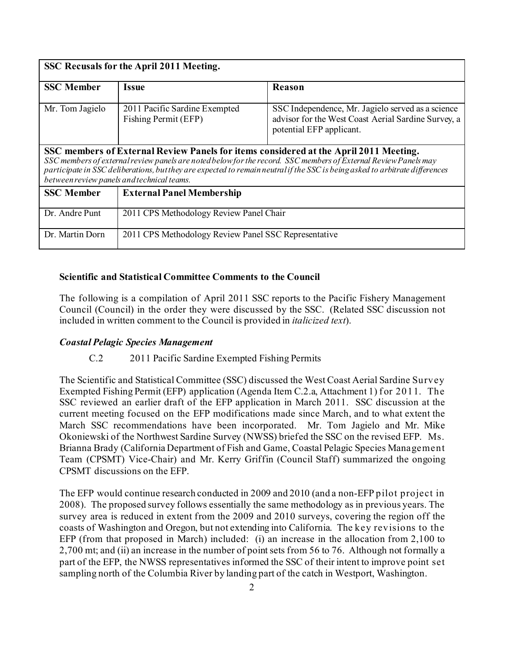| SSC Recusals for the April 2011 Meeting.                                                                                                                                                                                                                                                                                                                                               |                                                       |                                                                                                                                      |  |  |
|----------------------------------------------------------------------------------------------------------------------------------------------------------------------------------------------------------------------------------------------------------------------------------------------------------------------------------------------------------------------------------------|-------------------------------------------------------|--------------------------------------------------------------------------------------------------------------------------------------|--|--|
| <b>SSC Member</b>                                                                                                                                                                                                                                                                                                                                                                      | Issue                                                 | Reason                                                                                                                               |  |  |
| Mr. Tom Jagielo                                                                                                                                                                                                                                                                                                                                                                        | 2011 Pacific Sardine Exempted<br>Fishing Permit (EFP) | SSC Independence, Mr. Jagielo served as a science<br>advisor for the West Coast Aerial Sardine Survey, a<br>potential EFP applicant. |  |  |
| SSC members of External Review Panels for items considered at the April 2011 Meeting.<br>SSC members of external review panels are noted below for the record. SSC members of External Review Panels may<br>participate in SSC deliberations, but they are expected to remain neutral if the SSC is being asked to arbitrate differences<br>between review panels and technical teams. |                                                       |                                                                                                                                      |  |  |
| <b>SSC Member</b>                                                                                                                                                                                                                                                                                                                                                                      | <b>External Panel Membership</b>                      |                                                                                                                                      |  |  |
| Dr. Andre Punt                                                                                                                                                                                                                                                                                                                                                                         | 2011 CPS Methodology Review Panel Chair               |                                                                                                                                      |  |  |
| Dr. Martin Dorn                                                                                                                                                                                                                                                                                                                                                                        | 2011 CPS Methodology Review Panel SSC Representative  |                                                                                                                                      |  |  |

#### **Scientific and Statistical Committee Comments to the Council**

The following is a compilation of April 2011 SSC reports to the Pacific Fishery Management Council (Council) in the order they were discussed by the SSC. (Related SSC discussion not included in written comment to the Council is provided in *italicized text*).

#### *Coastal Pelagic Species Management*

#### C.2 2011 Pacific Sardine Exempted Fishing Permits

The Scientific and Statistical Committee (SSC) discussed the West Coast Aerial Sardine Survey Exempted Fishing Permit (EFP) application (Agenda Item C.2.a, Attachment 1) for 2011. The SSC reviewed an earlier draft of the EFP application in March 2011. SSC discussion at the current meeting focused on the EFP modifications made since March, and to what extent the March SSC recommendations have been incorporated. Mr. Tom Jagielo and Mr. Mike Okoniewski of the Northwest Sardine Survey (NWSS) briefed the SSC on the revised EFP. Ms. Brianna Brady (California Department of Fish and Game, Coastal Pelagic Species Management Team (CPSMT) Vice-Chair) and Mr. Kerry Griffin (Council Staff) summarized the ongoing CPSMT discussions on the EFP.

The EFP would continue research conducted in 2009 and 2010 (and a non-EFP pilot project in 2008). The proposed survey follows essentially the same methodology as in previous years. The survey area is reduced in extent from the 2009 and 2010 surveys, covering the region off the coasts of Washington and Oregon, but not extending into California. The key revisions to the EFP (from that proposed in March) included: (i) an increase in the allocation from 2,100 to 2,700 mt; and (ii) an increase in the number of point sets from 56 to 76. Although not formally a part of the EFP, the NWSS representatives informed the SSC of their intent to improve point set sampling north of the Columbia River by landing part of the catch in Westport, Washington.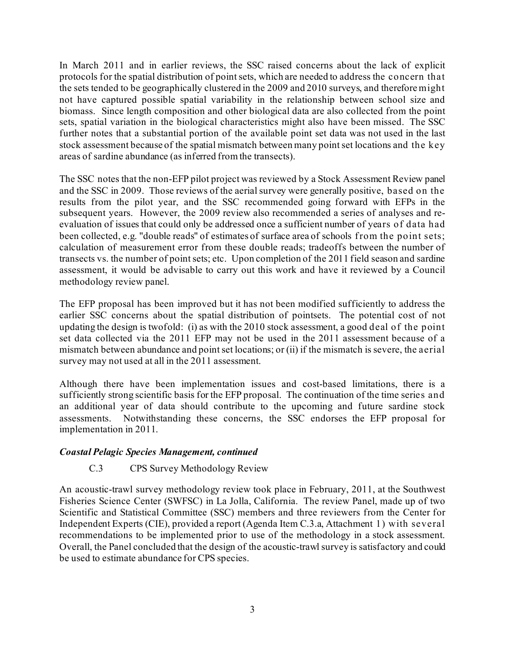In March 2011 and in earlier reviews, the SSC raised concerns about the lack of explicit protocols for the spatial distribution of point sets, which are needed to address the concern that the sets tended to be geographically clustered in the 2009 and 2010 surveys, and therefore might not have captured possible spatial variability in the relationship between school size and biomass. Since length composition and other biological data are also collected from the point sets, spatial variation in the biological characteristics might also have been missed. The SSC further notes that a substantial portion of the available point set data was not used in the last stock assessment because of the spatial mismatch between many point set locations and the key areas of sardine abundance (as inferred from the transects).

The SSC notes that the non-EFP pilot project was reviewed by a Stock Assessment Review panel and the SSC in 2009. Those reviews of the aerial survey were generally positive, based on the results from the pilot year, and the SSC recommended going forward with EFPs in the subsequent years. However, the 2009 review also recommended a series of analyses and reevaluation of issues that could only be addressed once a sufficient number of years of data had been collected, e.g. "double reads" of estimates of surface area of schools from the point sets; calculation of measurement error from these double reads; tradeoffs between the number of transects vs. the number of point sets; etc. Upon completion of the 2011 field season and sardine assessment, it would be advisable to carry out this work and have it reviewed by a Council methodology review panel.

The EFP proposal has been improved but it has not been modified sufficiently to address the earlier SSC concerns about the spatial distribution of pointsets. The potential cost of not updating the design is twofold: (i) as with the 2010 stock assessment, a good deal of the point set data collected via the 2011 EFP may not be used in the 2011 assessment because of a mismatch between abundance and point set locations; or (ii) if the mismatch is severe, the aerial survey may not used at all in the 2011 assessment.

Although there have been implementation issues and cost-based limitations, there is a sufficiently strong scientific basis for the EFP proposal. The continuation of the time series and an additional year of data should contribute to the upcoming and future sardine stock assessments. Notwithstanding these concerns, the SSC endorses the EFP proposal for implementation in 2011.

#### *Coastal Pelagic Species Management, continued*

# C.3 CPS Survey Methodology Review

An acoustic-trawl survey methodology review took place in February, 2011, at the Southwest Fisheries Science Center (SWFSC) in La Jolla, California. The review Panel, made up of two Scientific and Statistical Committee (SSC) members and three reviewers from the Center for Independent Experts (CIE), provided a report (Agenda Item C.3.a, Attachment 1) with several recommendations to be implemented prior to use of the methodology in a stock assessment. Overall, the Panel concluded that the design of the acoustic-trawl survey is satisfactory and could be used to estimate abundance for CPS species.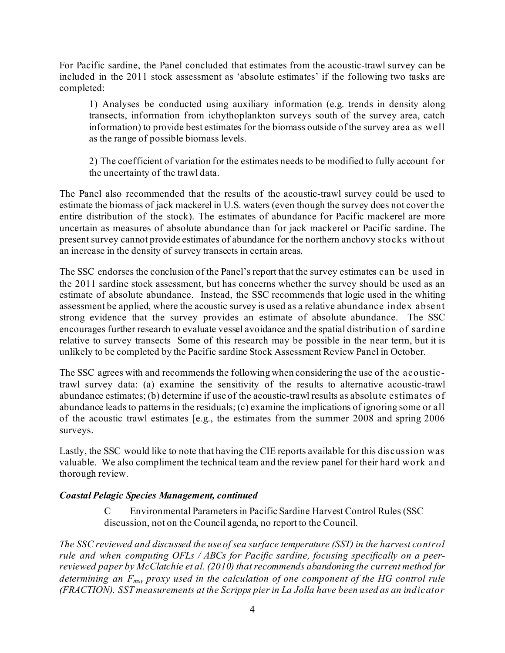For Pacific sardine, the Panel concluded that estimates from the acoustic-trawl survey can be included in the 2011 stock assessment as 'absolute estimates' if the following two tasks are completed:

1) Analyses be conducted using auxiliary information (e.g. trends in density along transects, information from ichythoplankton surveys south of the survey area, catch information) to provide best estimates for the biomass outside of the survey area as well as the range of possible biomass levels.

2) The coefficient of variation for the estimates needs to be modified to fully account f or the uncertainty of the trawl data.

The Panel also recommended that the results of the acoustic-trawl survey could be used to estimate the biomass of jack mackerel in U.S. waters (even though the survey does not cover the entire distribution of the stock). The estimates of abundance for Pacific mackerel are more uncertain as measures of absolute abundance than for jack mackerel or Pacific sardine. The present survey cannot provide estimates of abundance for the northern anchovy stocks without an increase in the density of survey transects in certain areas.

The SSC endorses the conclusion of the Panel's report that the survey estimates can be used in the 2011 sardine stock assessment, but has concerns whether the survey should be used as an estimate of absolute abundance. Instead, the SSC recommends that logic used in the whiting assessment be applied, where the acoustic survey is used as a relative abundance index absent strong evidence that the survey provides an estimate of absolute abundance. The SSC encourages further research to evaluate vessel avoidance and the spatial distribution of sardine relative to survey transects Some of this research may be possible in the near term, but it is unlikely to be completed by the Pacific sardine Stock Assessment Review Panel in October.

The SSC agrees with and recommends the following when considering the use of the acoustictrawl survey data: (a) examine the sensitivity of the results to alternative acoustic-trawl abundance estimates; (b) determine if use of the acoustic-trawl results as absolute estimates of abundance leads to patterns in the residuals; (c) examine the implications of ignoring some or all of the acoustic trawl estimates [e.g., the estimates from the summer 2008 and spring 2006 surveys.

Lastly, the SSC would like to note that having the CIE reports available for this discussion was valuable. We also compliment the technical team and the review panel for their hard work and thorough review.

#### *Coastal Pelagic Species Management, continued*

C Environmental Parameters in Pacific Sardine Harvest Control Rules (SSC discussion, not on the Council agenda, no report to the Council.

*The SSC reviewed and discussed the use of sea surface temperature (SST) in the harvest control rule and when computing OFLs / ABCs for Pacific sardine, focusing specifically on a peerreviewed paper by McClatchie et al. (2010) that recommends abandoning the current method for determining an Fmsy proxy used in the calculation of one component of the HG control rule (FRACTION). SST measurements at the Scripps pier in La Jolla have been used as an indicator*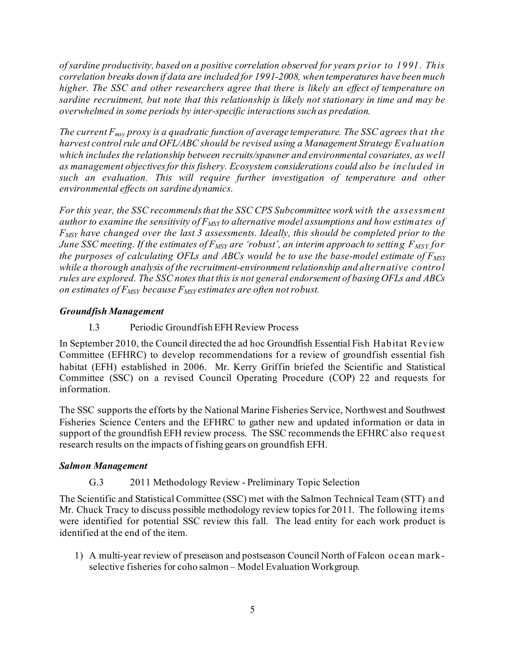*of sardine productivity, based on a positive correlation observed for years prior to 1991. This correlation breaks down if data are included for 1991-2008, when temperatures have been much higher. The SSC and other researchers agree that there is likely an effect of temperature on sardine recruitment, but note that this relationship is likely not stationary in time and may be overwhelmed in some periods by inter-specific interactions such as predation.* 

*The current Fmsy proxy is a quadratic function of average temperature. The SSC agrees that the harvest control rule and OFL/ABC should be revised using a Management Strategy Evaluation which includes the relationship between recruits/spawner and environmental covariates, as well as management objectives for this fishery. Ecosystem considerations could also be included in such an evaluation. This will require further investigation of temperature and other environmental effects on sardine dynamics.* 

*For this year, the SSC recommends that the SSC CPS Subcommittee work with the assessment*  author to examine the sensitivity of  $F_{MSY}$  to alternative model assumptions and how estimates of *FMSY have changed over the last 3 assessments. Ideally, this should be completed prior to the June SSC meeting. If the estimates of F<sub>MSY</sub> are 'robust', an interim approach to setting F<sub>MSY</sub> for the purposes of calculating OFLs and ABCs would be to use the base-model estimate of*  $F_{MST}$ *while a thorough analysis of the recruitment-environment relationship and alternative control rules are explored. The SSC notes that this is not general endorsement of basing OFLs and ABCs on estimates of FMSY because FMSY estimates are often not robust.* 

## *Groundfish Management*

I.3 Periodic Groundfish EFH Review Process

In September 2010, the Council directed the ad hoc Groundfish Essential Fish Habitat Review Committee (EFHRC) to develop recommendations for a review of groundfish essential fish habitat (EFH) established in 2006. Mr. Kerry Griffin briefed the Scientific and Statistical Committee (SSC) on a revised Council Operating Procedure (COP) 22 and requests for information.

The SSC supports the efforts by the National Marine Fisheries Service, Northwest and Southwest Fisheries Science Centers and the EFHRC to gather new and updated information or data in support of the groundfish EFH review process. The SSC recommends the EFHRC also request research results on the impacts of fishing gears on groundfish EFH.

#### *Salmon Management*

# G.3 2011 Methodology Review - Preliminary Topic Selection

The Scientific and Statistical Committee (SSC) met with the Salmon Technical Team (STT) and Mr. Chuck Tracy to discuss possible methodology review topics for 2011. The following items were identified for potential SSC review this fall. The lead entity for each work product is identified at the end of the item.

1) A multi-year review of preseason and postseason Council North of Falcon ocean markselective fisheries for coho salmon – Model Evaluation Workgroup.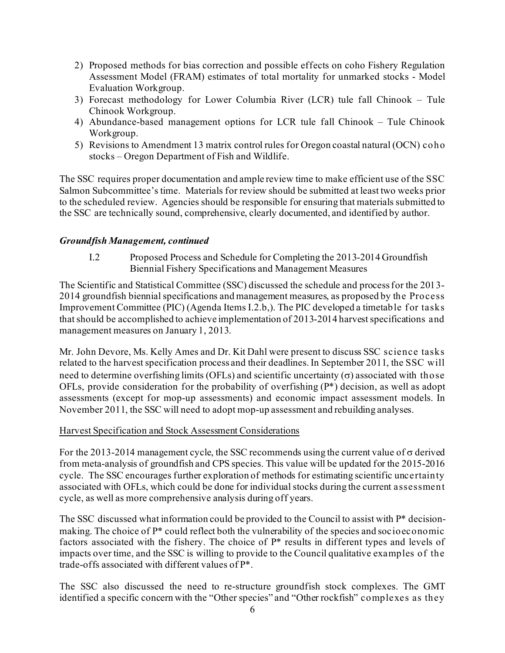- 2) Proposed methods for bias correction and possible effects on coho Fishery Regulation Assessment Model (FRAM) estimates of total mortality for unmarked stocks - Model Evaluation Workgroup.
- 3) Forecast methodology for Lower Columbia River (LCR) tule fall Chinook Tule Chinook Workgroup.
- 4) Abundance-based management options for LCR tule fall Chinook Tule Chinook Workgroup.
- 5) Revisions to Amendment 13 matrix control rules for Oregon coastal natural (OCN) coho stocks – Oregon Department of Fish and Wildlife.

The SSC requires proper documentation and ample review time to make efficient use of the SSC Salmon Subcommittee's time. Materials for review should be submitted at least two weeks prior to the scheduled review. Agencies should be responsible for ensuring that materials submitted to the SSC are technically sound, comprehensive, clearly documented, and identified by author.

## *Groundfish Management, continued*

I.2 Proposed Process and Schedule for Completing the 2013-2014 Groundfish Biennial Fishery Specifications and Management Measures

The Scientific and Statistical Committee (SSC) discussed the schedule and processfor the 2013- 2014 groundfish biennial specifications and management measures, as proposed by the Process Improvement Committee (PIC) (Agenda Items I.2.b,). The PIC developed a timetable for tasks that should be accomplished to achieve implementation of 2013-2014 harvest specifications and management measures on January 1, 2013.

Mr. John Devore, Ms. Kelly Ames and Dr. Kit Dahl were present to discuss SSC science tasks related to the harvest specification process and their deadlines. In September 2011, the SSC will need to determine overfishing limits (OFLs) and scientific uncertainty  $(\sigma)$  associated with those OFLs, provide consideration for the probability of overfishing (P\*) decision, as well as adopt assessments (except for mop-up assessments) and economic impact assessment models. In November 2011, the SSC will need to adopt mop-up assessment and rebuilding analyses.

#### Harvest Specification and Stock Assessment Considerations

For the 2013-2014 management cycle, the SSC recommends using the current value of  $\sigma$  derived from meta-analysis of groundfish and CPS species. This value will be updated for the 2015-2016 cycle. The SSC encourages further exploration of methods for estimating scientific uncertainty associated with OFLs, which could be done for individual stocks during the current assessment cycle, as well as more comprehensive analysis during off years.

The SSC discussed what information could be provided to the Council to assist with P\* decisionmaking. The choice of P\* could reflect both the vulnerability of the species and socioeconomic factors associated with the fishery. The choice of P\* results in different types and levels of impacts over time, and the SSC is willing to provide to the Council qualitative examples of the trade-offs associated with different values of P\*.

The SSC also discussed the need to re-structure groundfish stock complexes. The GMT identified a specific concern with the "Other species" and "Other rockfish" complexes as they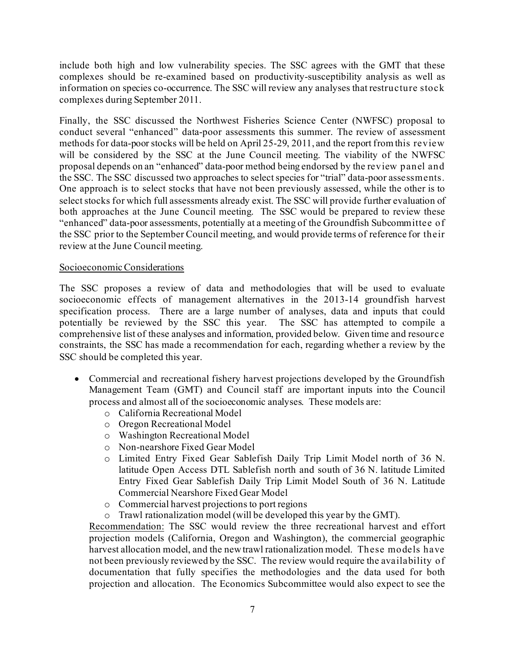include both high and low vulnerability species. The SSC agrees with the GMT that these complexes should be re-examined based on productivity-susceptibility analysis as well as information on species co-occurrence. The SSC will review any analyses that restructure stock complexes during September 2011.

Finally, the SSC discussed the Northwest Fisheries Science Center (NWFSC) proposal to conduct several "enhanced" data-poor assessments this summer. The review of assessment methods for data-poor stocks will be held on April 25-29, 2011, and the report from this review will be considered by the SSC at the June Council meeting. The viability of the NWFSC proposal depends on an "enhanced" data-poor method being endorsed by the review panel and the SSC. The SSC discussed two approaches to select species for "trial" data-poor assessments. One approach is to select stocks that have not been previously assessed, while the other is to select stocks for which full assessments already exist. The SSC will provide further evaluation of both approaches at the June Council meeting. The SSC would be prepared to review these "enhanced" data-poor assessments, potentially at a meeting of the Groundfish Subcommittee of the SSC prior to the September Council meeting, and would provide terms of reference for their review at the June Council meeting.

#### Socioeconomic Considerations

The SSC proposes a review of data and methodologies that will be used to evaluate socioeconomic effects of management alternatives in the 2013-14 groundfish harvest specification process. There are a large number of analyses, data and inputs that could potentially be reviewed by the SSC this year. The SSC has attempted to compile a comprehensive list of these analyses and information, provided below. Given time and resource constraints, the SSC has made a recommendation for each, regarding whether a review by the SSC should be completed this year.

- Commercial and recreational fishery harvest projections developed by the Groundfish Management Team (GMT) and Council staff are important inputs into the Council process and almost all of the socioeconomic analyses. These models are:
	- o California Recreational Model
	- o Oregon Recreational Model
	- o Washington Recreational Model
	- o Non-nearshore Fixed Gear Model
	- o Limited Entry Fixed Gear Sablefish Daily Trip Limit Model north of 36 N. latitude Open Access DTL Sablefish north and south of 36 N. latitude Limited Entry Fixed Gear Sablefish Daily Trip Limit Model South of 36 N. Latitude Commercial Nearshore Fixed Gear Model
	- o Commercial harvest projections to port regions
	- o Trawl rationalization model (will be developed this year by the GMT).

Recommendation: The SSC would review the three recreational harvest and effort projection models (California, Oregon and Washington), the commercial geographic harvest allocation model, and the new trawl rationalization model. These models have not been previously reviewed by the SSC. The review would require the availability of documentation that fully specifies the methodologies and the data used for both projection and allocation. The Economics Subcommittee would also expect to see the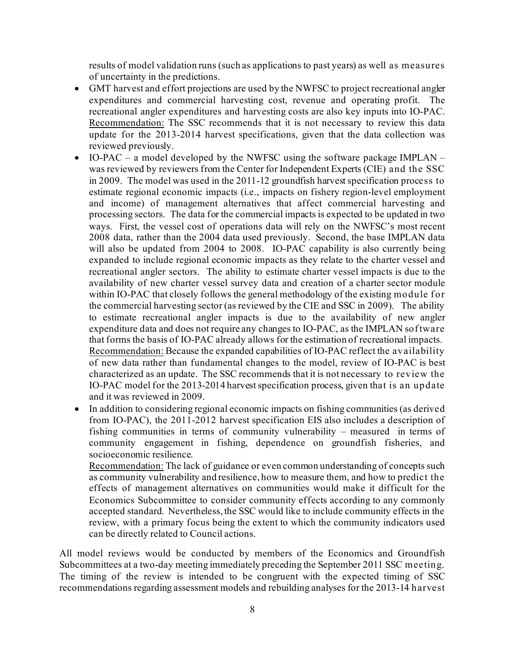results of model validation runs (such as applications to past years) as well as measures of uncertainty in the predictions.

- GMT harvest and effort projections are used by the NWFSC to project recreational angler expenditures and commercial harvesting cost, revenue and operating profit. The recreational angler expenditures and harvesting costs are also key inputs into IO-PAC. Recommendation: The SSC recommends that it is not necessary to review this data update for the 2013-2014 harvest specifications, given that the data collection was reviewed previously.
- IO-PAC a model developed by the NWFSC using the software package IMPLAN was reviewed by reviewers from the Center for Independent Experts (CIE) and the SSC in 2009. The model was used in the 2011-12 groundfish harvest specification process to estimate regional economic impacts (i.e., impacts on fishery region-level employment and income) of management alternatives that affect commercial harvesting and processing sectors. The data for the commercial impacts is expected to be updated in two ways. First, the vessel cost of operations data will rely on the NWFSC's most recent 2008 data, rather than the 2004 data used previously. Second, the base IMPLAN data will also be updated from 2004 to 2008. IO-PAC capability is also currently being expanded to include regional economic impacts as they relate to the charter vessel and recreational angler sectors. The ability to estimate charter vessel impacts is due to the availability of new charter vessel survey data and creation of a charter sector module within IO-PAC that closely follows the general methodology of the existing module for the commercial harvesting sector (as reviewed by the CIE and SSC in 2009). The ability to estimate recreational angler impacts is due to the availability of new angler expenditure data and does not require any changes to IO-PAC, as the IMPLAN software that forms the basis of IO-PAC already allows for the estimation of recreational impacts. Recommendation: Because the expanded capabilities of IO-PAC reflect the availability of new data rather than fundamental changes to the model, review of IO-PAC is best characterized as an update. The SSC recommends that it is not necessary to review the IO-PAC model for the 2013-2014 harvest specification process, given that is an update and it was reviewed in 2009.
- In addition to considering regional economic impacts on fishing communities (as derived from IO-PAC), the 2011-2012 harvest specification EIS also includes a description of fishing communities in terms of community vulnerability – measured in terms of community engagement in fishing, dependence on groundfish fisheries, and socioeconomic resilience.

Recommendation: The lack of guidance or even common understanding of concepts such as community vulnerability and resilience, how to measure them, and how to predict the effects of management alternatives on communities would make it difficult for the Economics Subcommittee to consider community effects according to any commonly accepted standard. Nevertheless, the SSC would like to include community effects in the review, with a primary focus being the extent to which the community indicators used can be directly related to Council actions.

All model reviews would be conducted by members of the Economics and Groundfish Subcommittees at a two-day meeting immediately preceding the September 2011 SSC meeting. The timing of the review is intended to be congruent with the expected timing of SSC recommendations regarding assessment models and rebuilding analyses for the 2013-14 harvest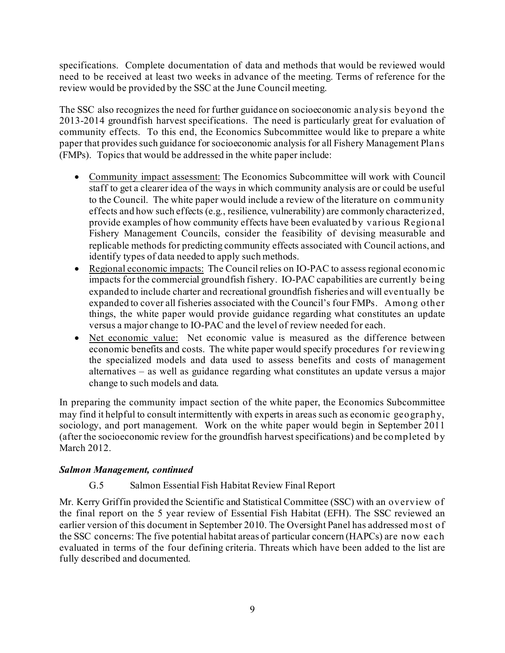specifications. Complete documentation of data and methods that would be reviewed would need to be received at least two weeks in advance of the meeting. Terms of reference for the review would be provided by the SSC at the June Council meeting.

The SSC also recognizes the need for further guidance on socioeconomic analysis beyond the 2013-2014 groundfish harvest specifications. The need is particularly great for evaluation of community effects. To this end, the Economics Subcommittee would like to prepare a white paper that provides such guidance for socioeconomic analysis for all Fishery Management Plans (FMPs). Topics that would be addressed in the white paper include:

- Community impact assessment: The Economics Subcommittee will work with Council staff to get a clearer idea of the ways in which community analysis are or could be useful to the Council. The white paper would include a review of the literature on community effects and how such effects (e.g., resilience, vulnerability) are commonly characterized, provide examples of how community effects have been evaluated by various Regional Fishery Management Councils, consider the feasibility of devising measurable and replicable methods for predicting community effects associated with Council actions, and identify types of data needed to apply such methods.
- Regional economic impacts: The Council relies on IO-PAC to assess regional economic impacts for the commercial groundfish fishery. IO-PAC capabilities are currently being expanded to include charter and recreational groundfish fisheries and will eventually be expanded to cover all fisheries associated with the Council's four FMPs. Among other things, the white paper would provide guidance regarding what constitutes an update versus a major change to IO-PAC and the level of review needed for each.
- Net economic value: Net economic value is measured as the difference between economic benefits and costs. The white paper would specify procedures for reviewing the specialized models and data used to assess benefits and costs of management alternatives – as well as guidance regarding what constitutes an update versus a major change to such models and data.

In preparing the community impact section of the white paper, the Economics Subcommittee may find it helpful to consult intermittently with experts in areas such as economic geography, sociology, and port management. Work on the white paper would begin in September 2011 (after the socioeconomic review for the groundfish harvest specifications) and be completed by March 2012.

#### *Salmon Management, continued*

#### G.5 Salmon Essential Fish Habitat Review Final Report

Mr. Kerry Griffin provided the Scientific and Statistical Committee (SSC) with an overview of the final report on the 5 year review of Essential Fish Habitat (EFH). The SSC reviewed an earlier version of this document in September 2010. The Oversight Panel has addressed most of the SSC concerns: The five potential habitat areas of particular concern (HAPCs) are now each evaluated in terms of the four defining criteria. Threats which have been added to the list are fully described and documented.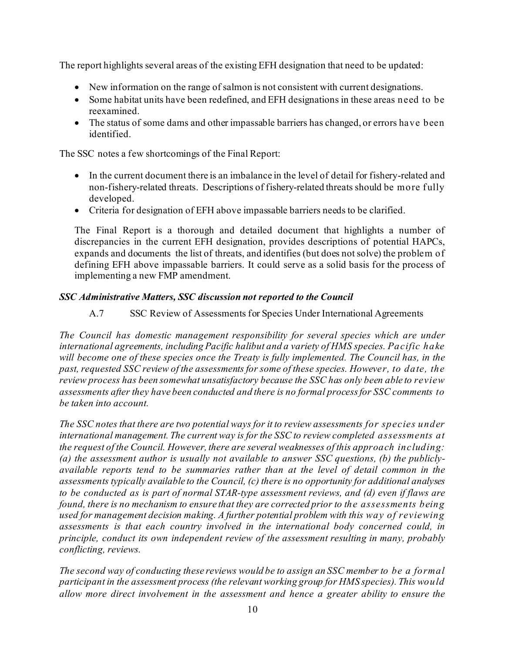The report highlights several areas of the existing EFH designation that need to be updated:

- New information on the range of salmon is not consistent with current designations.
- Some habitat units have been redefined, and EFH designations in these areas need to be reexamined.
- The status of some dams and other impassable barriers has changed, or errors have been identified.

The SSC notes a few shortcomings of the Final Report:

- In the current document there is an imbalance in the level of detail for fishery-related and non-fishery-related threats. Descriptions of fishery-related threats should be more f ully developed.
- Criteria for designation of EFH above impassable barriers needs to be clarified.

The Final Report is a thorough and detailed document that highlights a number of discrepancies in the current EFH designation, provides descriptions of potential HAPCs, expands and documents the list of threats, and identifies (but does not solve) the problem of defining EFH above impassable barriers. It could serve as a solid basis for the process of implementing a new FMP amendment.

# *SSC Administrative Matters, SSC discussion not reported to the Council*

# A.7 SSC Review of Assessments for Species Under International Agreements

*The Council has domestic management responsibility for several species which are under international agreements, including Pacific halibut and a variety of HMS species. Pacific hake*  will become one of these species once the Treaty is fully implemented. The Council has, in the *past, requested SSC review of the assessments for some of these species. However, to date, the review process has been somewhat unsatisfactory because the SSC has only been able to review assessments after they have been conducted and there is no formal process for SSC comments to be taken into account.*

*The SSC notes that there are two potential ways for it to review assessments for species under international management. The current way is for the SSC to review completed assessments at the request of the Council. However, there are several weaknesses of this approach including: (a) the assessment author is usually not available to answer SSC questions, (b) the publiclyavailable reports tend to be summaries rather than at the level of detail common in the assessments typically available to the Council, (c) there is no opportunity for additional analyses to be conducted as is part of normal STAR-type assessment reviews, and (d) even if flaws are found, there is no mechanism to ensure that they are corrected prior to the assessments being used for management decision making. A further potential problem with this way of reviewing assessments is that each country involved in the international body concerned could, in principle, conduct its own independent review of the assessment resulting in many, probably conflicting, reviews.*

*The second way of conducting these reviews would be to assign an SSC member to be a formal participant in the assessment process (the relevant working group for HMS species). This would allow more direct involvement in the assessment and hence a greater ability to ensure the*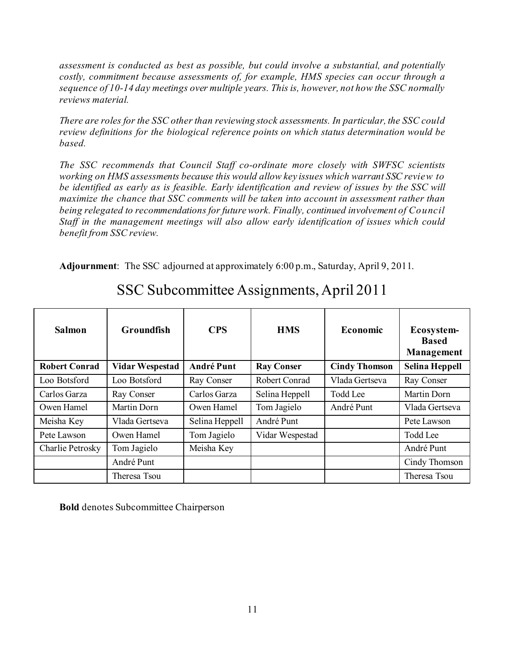*assessment is conducted as best as possible, but could involve a substantial, and potentially costly, commitment because assessments of, for example, HMS species can occur through a sequence of 10-14 day meetings over multiple years. This is, however, not how the SSC normally reviews material.*

*There are roles for the SSC other than reviewing stock assessments. In particular, the SSC could review definitions for the biological reference points on which status determination would be based.* 

*The SSC recommends that Council Staff co-ordinate more closely with SWFSC scientists working on HMS assessments because this would allow key issues which warrant SSC review to be identified as early as is feasible. Early identification and review of issues by the SSC will maximize the chance that SSC comments will be taken into account in assessment rather than being relegated to recommendations for future work. Finally, continued involvement of Council Staff in the management meetings will also allow early identification of issues which could benefit from SSC review.*

**Adjournment**: The SSC adjourned at approximately 6:00 p.m., Saturday, April 9, 2011.

| <b>Salmon</b>        | <b>Groundfish</b>      | <b>CPS</b>        | <b>HMS</b>        | <b>Economic</b>      | Ecosystem-<br><b>Based</b><br>Management |
|----------------------|------------------------|-------------------|-------------------|----------------------|------------------------------------------|
| <b>Robert Conrad</b> | <b>Vidar Wespestad</b> | <b>André Punt</b> | <b>Ray Conser</b> | <b>Cindy Thomson</b> | <b>Selina Heppell</b>                    |
| Loo Botsford         | Loo Botsford           | Ray Conser        | Robert Conrad     | Vlada Gertseva       | Ray Conser                               |
| Carlos Garza         | Ray Conser             | Carlos Garza      | Selina Heppell    | <b>Todd Lee</b>      | Martin Dorn                              |
| Owen Hamel           | Martin Dorn            | Owen Hamel        | Tom Jagielo       | André Punt           | Vlada Gertseva                           |
| Meisha Key           | Vlada Gertseva         | Selina Heppell    | André Punt        |                      | Pete Lawson                              |
| Pete Lawson          | Owen Hamel             | Tom Jagielo       | Vidar Wespestad   |                      | Todd Lee                                 |
| Charlie Petrosky     | Tom Jagielo            | Meisha Key        |                   |                      | André Punt                               |
|                      | André Punt             |                   |                   |                      | Cindy Thomson                            |
|                      | Theresa Tsou           |                   |                   |                      | Theresa Tsou                             |

SSC Subcommittee Assignments, April 2011

**Bold** denotes Subcommittee Chairperson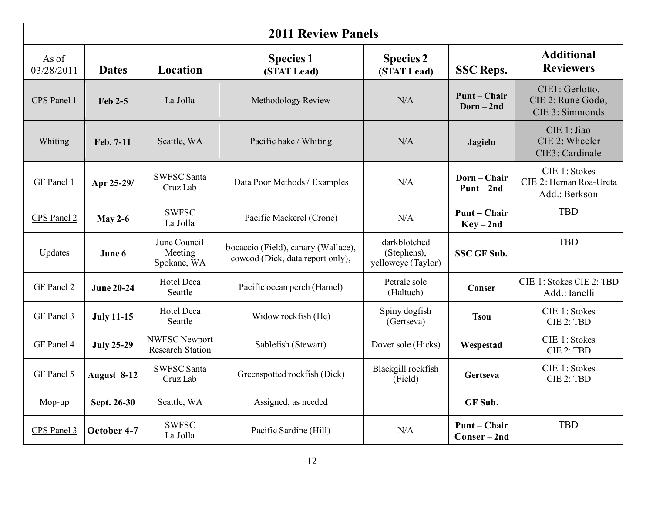| <b>2011 Review Panels</b> |                   |                                          |                                                                         |                                                   |                                 |                                                           |
|---------------------------|-------------------|------------------------------------------|-------------------------------------------------------------------------|---------------------------------------------------|---------------------------------|-----------------------------------------------------------|
| As of<br>03/28/2011       | <b>Dates</b>      | Location                                 | <b>Species 1</b><br>(STAT Lead)                                         | <b>Species 2</b><br>(STAT Lead)                   | <b>SSC Reps.</b>                | <b>Additional</b><br><b>Reviewers</b>                     |
| CPS Panel 1               | Feb 2-5           | La Jolla                                 | Methodology Review                                                      | N/A                                               | <b>Punt-Chair</b><br>$Dorn-2nd$ | CIE1: Gerlotto,<br>CIE 2: Rune Godø,<br>CIE 3: Simmonds   |
| Whiting                   | Feb. 7-11         | Seattle, WA                              | Pacific hake / Whiting                                                  | N/A                                               | <b>Jagielo</b>                  | CIE 1: Jiao<br>CIE 2: Wheeler<br>CIE3: Cardinale          |
| GF Panel 1                | Apr 25-29/        | <b>SWFSC Santa</b><br>Cruz Lab           | Data Poor Methods / Examples                                            | N/A                                               | Dorn-Chair<br>$Punt-2nd$        | CIE 1: Stokes<br>CIE 2: Hernan Roa-Ureta<br>Add.: Berkson |
| CPS Panel 2               | May 2-6           | <b>SWFSC</b><br>La Jolla                 | Pacific Mackerel (Crone)                                                | N/A                                               | Punt – Chair<br>$Key-2nd$       | <b>TBD</b>                                                |
| Updates                   | June 6            | June Council<br>Meeting<br>Spokane, WA   | bocaccio (Field), canary (Wallace),<br>cowcod (Dick, data report only), | darkblotched<br>(Stephens),<br>yelloweye (Taylor) | <b>SSC GF Sub.</b>              | <b>TBD</b>                                                |
| GF Panel 2                | <b>June 20-24</b> | Hotel Deca<br>Seattle                    | Pacific ocean perch (Hamel)                                             | Petrale sole<br>(Haltuch)                         | Conser                          | CIE 1: Stokes CIE 2: TBD<br>Add.: Ianelli                 |
| GF Panel 3                | <b>July 11-15</b> | <b>Hotel Deca</b><br>Seattle             | Widow rockfish (He)                                                     | Spiny dogfish<br>(Gertseva)                       | <b>Tsou</b>                     | CIE 1: Stokes<br>CIE 2: TBD                               |
| GF Panel 4                | <b>July 25-29</b> | NWFSC Newport<br><b>Research Station</b> | Sablefish (Stewart)                                                     | Dover sole (Hicks)                                | Wespestad                       | CIE 1: Stokes<br>CIE 2: TBD                               |
| GF Panel 5                | August 8-12       | <b>SWFSC Santa</b><br>Cruz Lab           | Greenspotted rockfish (Dick)                                            | Blackgill rockfish<br>(Field)                     | Gertseva                        | CIE 1: Stokes<br>CIE 2: TBD                               |
| Mop-up                    | Sept. 26-30       | Seattle, WA                              | Assigned, as needed                                                     |                                                   | GF Sub.                         |                                                           |
| CPS Panel 3               | October 4-7       | <b>SWFSC</b><br>La Jolla                 | Pacific Sardine (Hill)                                                  | N/A                                               | <b>Punt-Chair</b><br>Conser-2nd | <b>TBD</b>                                                |